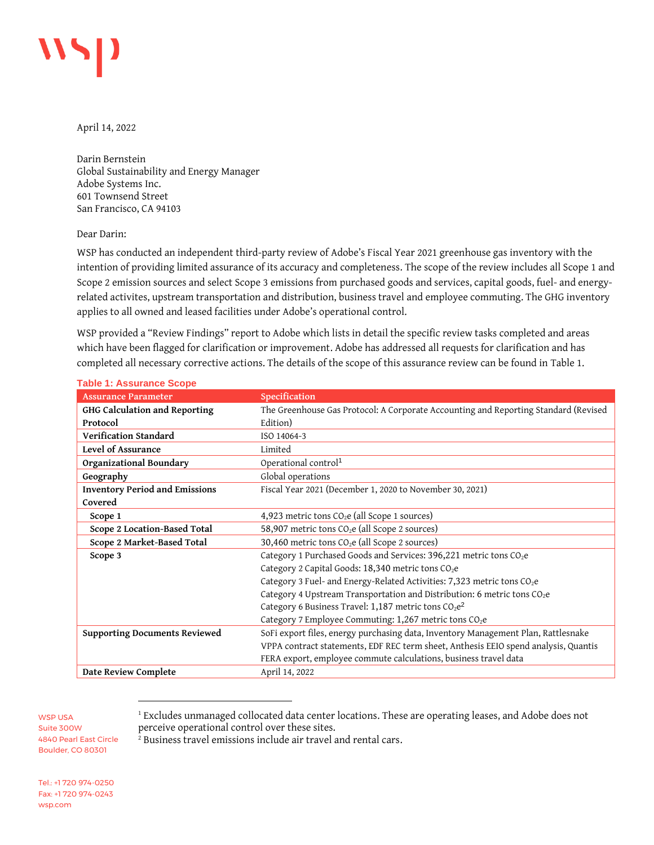

April 14, 2022

Darin Bernstein Global Sustainability and Energy Manager Adobe Systems Inc. 601 Townsend Street San Francisco, CA 94103

## Dear Darin:

WSP has conducted an independent third-party review of Adobe's Fiscal Year 2021 greenhouse gas inventory with the intention of providing limited assurance of its accuracy and completeness. The scope of the review includes all Scope 1 and Scope 2 emission sources and select Scope 3 emissions from purchased goods and services, capital goods, fuel- and energyrelated activites, upstream transportation and distribution, business travel and employee commuting. The GHG inventory applies to all owned and leased facilities under Adobe's operational control.

WSP provided a "Review Findings" report to Adobe which lists in detail the specific review tasks completed and areas which have been flagged for clarification or improvement. Adobe has addressed all requests for clarification and has completed all necessary corrective actions. The details of the scope of this assurance review can be found i[n Table 1.](#page-0-0)

| <b>Assurance Parameter</b>            | Specification                                                                        |
|---------------------------------------|--------------------------------------------------------------------------------------|
| GHG Calculation and Reporting         | The Greenhouse Gas Protocol: A Corporate Accounting and Reporting Standard (Revised  |
| Protocol                              | Edition)                                                                             |
| Verification Standard                 | ISO 14064-3                                                                          |
| Level of Assurance                    | Limited                                                                              |
| Organizational Boundary               | Operational control <sup>1</sup>                                                     |
| Geography                             | Global operations                                                                    |
| <b>Inventory Period and Emissions</b> | Fiscal Year 2021 (December 1, 2020 to November 30, 2021)                             |
| Covered                               |                                                                                      |
| Scope 1                               | 4,923 metric tons CO <sub>2</sub> e (all Scope 1 sources)                            |
| Scope 2 Location-Based Total          | 58,907 metric tons CO <sub>2</sub> e (all Scope 2 sources)                           |
| Scope 2 Market-Based Total            | 30,460 metric tons $CO2e$ (all Scope 2 sources)                                      |
| Scope 3                               | Category 1 Purchased Goods and Services: 396,221 metric tons CO <sub>2</sub> e       |
|                                       | Category 2 Capital Goods: 18,340 metric tons CO <sub>2</sub> e                       |
|                                       | Category 3 Fuel- and Energy-Related Activities: 7,323 metric tons CO <sub>2</sub> e  |
|                                       | Category 4 Upstream Transportation and Distribution: 6 metric tons CO <sub>2</sub> e |
|                                       | Category 6 Business Travel: 1,187 metric tons $CO_2e^2$                              |
|                                       | Category 7 Employee Commuting: 1,267 metric tons CO <sub>2</sub> e                   |
| <b>Supporting Documents Reviewed</b>  | SoFi export files, energy purchasing data, Inventory Management Plan, Rattlesnake    |
|                                       | VPPA contract statements, EDF REC term sheet, Anthesis EEIO spend analysis, Quantis  |
|                                       | FERA export, employee commute calculations, business travel data                     |
| Date Review Complete                  | April 14, 2022                                                                       |

## <span id="page-0-0"></span>**Table 1: Assurance Scope**

WSP USA Suite 300W 4840 Pearl East Circle Boulder, CO 80301

<sup>2</sup> Business travel emissions include air travel and rental cars.

Tel.: +1 720 974-0250 Fax: +1 720 974-0243 wsp.com

<sup>&</sup>lt;sup>1</sup> Excludes unmanaged collocated data center locations. These are operating leases, and Adobe does not perceive operational control over these sites.